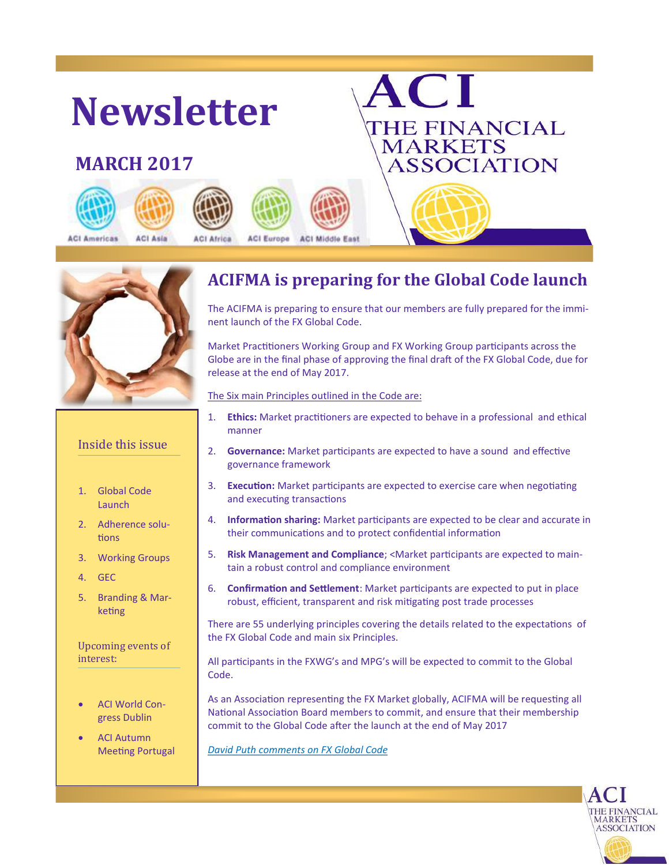



### Inside this issue

- 1. Global Code Launch
- 2. Adherence solutions
- 3. Working Groups
- 4. GEC
- 5. Branding & Marketing

Upcoming events of interest:

- ACI World Congress Dublin
- ACI Autumn Meeting Portugal

### **ACIFMA is preparing for the Global Code launch**

The ACIFMA is preparing to ensure that our members are fully prepared for the imminent launch of the FX Global Code.

Market Practitioners Working Group and FX Working Group participants across the Globe are in the final phase of approving the final draft of the FX Global Code, due for release at the end of May 2017.

The Six main Principles outlined in the Code are:

- 1. **Ethics:** Market practitioners are expected to behave in a professional and ethical manner
- 2. **Governance:** Market participants are expected to have a sound and effective governance framework
- 3. **Execution:** Market participants are expected to exercise care when negotiating and executing transactions
- 4. **Information sharing:** Market participants are expected to be clear and accurate in their communications and to protect confidential information
- 5. **Risk Management and Compliance**; <Market participants are expected to maintain a robust control and compliance environment
- 6. **Confirmation and Settlement**: Market participants are expected to put in place robust, efficient, transparent and risk mitigating post trade processes

There are 55 underlying principles covering the details related to the expectations of the FX Global Code and main six Principles.

All participants in the FXWG's and MPG's will be expected to commit to the Global Code.

As an Association representing the FX Market globally, ACIFMA will be requesting all National Association Board members to commit, and ensure that their membership commit to the Global Code after the launch at the end of May 2017

> THE FINANCIAL<br>\MARKETS ASSOCIATION

*[David Puth comments on FX Global Code](http://www.fx-mm.com/48866/fx-mm-magazine/past-issues/march-2016-past-issues/david-puth-ceo-at-cls-in-safe-hands/)*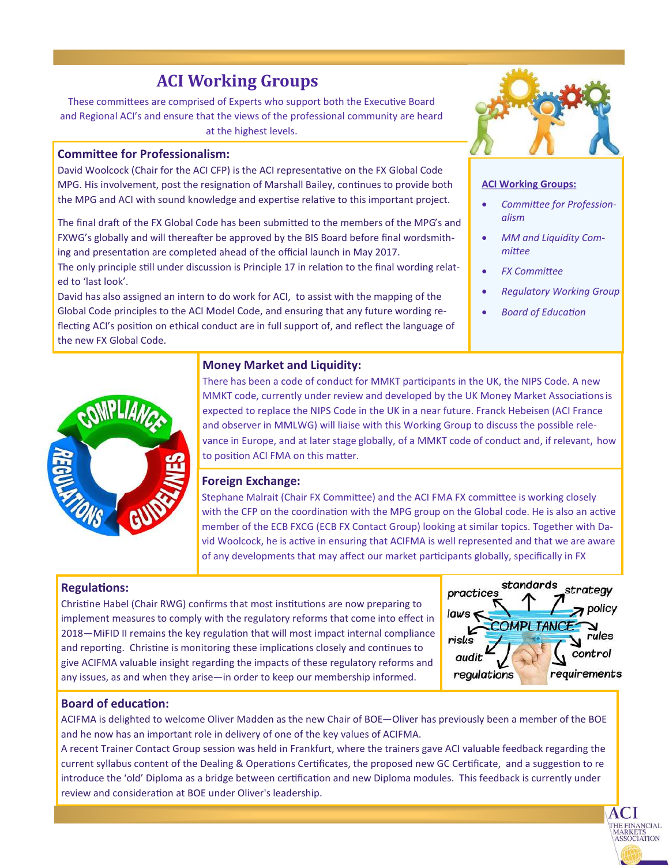## **ACI Working Groups**

These committees are comprised of Experts who support both the Executive Board and Regional ACI's and ensure that the views of the professional community are heard at the highest levels.

### **Committee for Professionalism:**

David Woolcock (Chair for the ACI CFP) is the ACI representative on the FX Global Code MPG. His involvement, post the resignation of Marshall Bailey, continues to provide both the MPG and ACI with sound knowledge and expertise relative to this important project.

The final draft of the FX Global Code has been submitted to the members of the MPG's and FXWG's globally and will thereafter be approved by the BIS Board before final wordsmithing and presentation are completed ahead of the official launch in May 2017.

The only principle still under discussion is Principle 17 in relation to the final wording related to 'last look'.

David has also assigned an intern to do work for ACI, to assist with the mapping of the Global Code principles to the ACI Model Code, and ensuring that any future wording reflecting ACI's position on ethical conduct are in full support of, and reflect the language of the new FX Global Code.



#### **ACI Working Groups:**

- *Committee for Professionalism*
- *MM and Liquidity Committee*
- *FX Committee*
- *Regulatory Working Group*
- *Board of Education*



### **Money Market and Liquidity:**

There has been a code of conduct for MMKT participants in the UK, the NIPS Code. A new MMKT code, currently under review and developed by the UK Money Market Associationsis expected to replace the NIPS Code in the UK in a near future. Franck Hebeisen (ACI France and observer in MMLWG) will liaise with this Working Group to discuss the possible relevance in Europe, and at later stage globally, of a MMKT code of conduct and, if relevant, how to position ACI FMA on this matter.

#### **Foreign Exchange:**

Stephane Malrait (Chair FX Committee) and the ACI FMA FX committee is working closely with the CFP on the coordination with the MPG group on the Global code. He is also an active member of the ECB FXCG (ECB FX Contact Group) looking at similar topics. Together with David Woolcock, he is active in ensuring that ACIFMA is well represented and that we are aware of any developments that may affect our market participants globally, specifically in FX

### **Regulations:**

Christine Habel (Chair RWG) confirms that most institutions are now preparing to implement measures to comply with the regulatory reforms that come into effect in 2018—MiFID II remains the key regulation that will most impact internal compliance and reporting. Christine is monitoring these implications closely and continues to give ACIFMA valuable insight regarding the impacts of these regulatory reforms and any issues, as and when they arise—in order to keep our membership informed.

| standards<br>practices          | strategy             |
|---------------------------------|----------------------|
| laws<br>COMPLIANCE <sup>-</sup> | $\rightarrow$ policy |
| risks<br>audit                  | rules<br>control     |
| regulations                     | requirements         |

 $AC<sub>1</sub>$ THE FINANCIAL<br>\MARKETS **ASSOCIATION** 

### **Board of education:**

ACIFMA is delighted to welcome Oliver Madden as the new Chair of BOE—Oliver has previously been a member of the BOE and he now has an important role in delivery of one of the key values of ACIFMA.

A recent Trainer Contact Group session was held in Frankfurt, where the trainers gave ACI valuable feedback regarding the current syllabus content of the Dealing & Operations Certificates, the proposed new GC Certificate, and a suggestion to re introduce the 'old' Diploma as a bridge between certification and new Diploma modules. This feedback is currently under review and consideration at BOE under Oliver's leadership.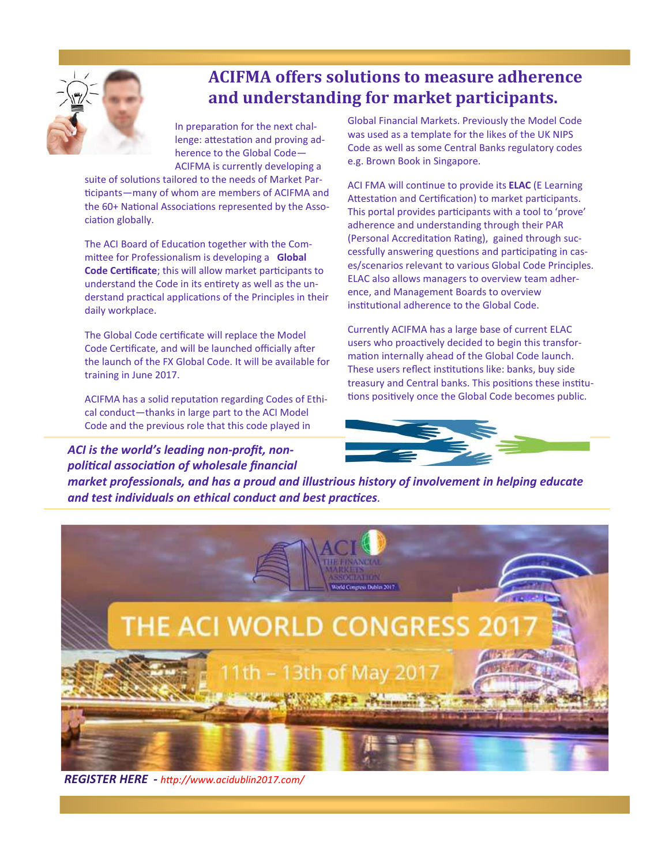

# **ACIFMA offers solutions to measure adherence and understanding for market participants.**

In preparation for the next challenge: attestation and proving adherence to the Global Code— ACIFMA is currently developing a

suite of solutions tailored to the needs of Market Participants—many of whom are members of ACIFMA and the 60+ National Associations represented by the Association globally.

The ACI Board of Education together with the Committee for Professionalism is developing a **Global Code Certificate**; this will allow market participants to understand the Code in its entirety as well as the understand practical applications of the Principles in their daily workplace.

The Global Code certificate will replace the Model Code Certificate, and will be launched officially after the launch of the FX Global Code. It will be available for training in June 2017.

ACIFMA has a solid reputation regarding Codes of Ethical conduct—thanks in large part to the ACI Model Code and the previous role that this code played in

*ACI is the world's leading non-profit, nonpolitical association of wholesale financial*  Global Financial Markets. Previously the Model Code was used as a template for the likes of the UK NIPS Code as well as some Central Banks regulatory codes e.g. Brown Book in Singapore.

ACI FMA will continue to provide its **ELAC** (E Learning Attestation and Certification) to market participants. This portal provides participants with a tool to 'prove' adherence and understanding through their PAR (Personal Accreditation Rating), gained through successfully answering questions and participating in cases/scenarios relevant to various Global Code Principles. ELAC also allows managers to overview team adherence, and Management Boards to overview institutional adherence to the Global Code.

Currently ACIFMA has a large base of current ELAC users who proactively decided to begin this transformation internally ahead of the Global Code launch. These users reflect institutions like: banks, buy side treasury and Central banks. This positions these institutions positively once the Global Code becomes public.



*market professionals, and has a proud and illustrious history of involvement in helping educate and test individuals on ethical conduct and best practices.* 



*REGISTER HERE - http://www.acidublin2017.com/*